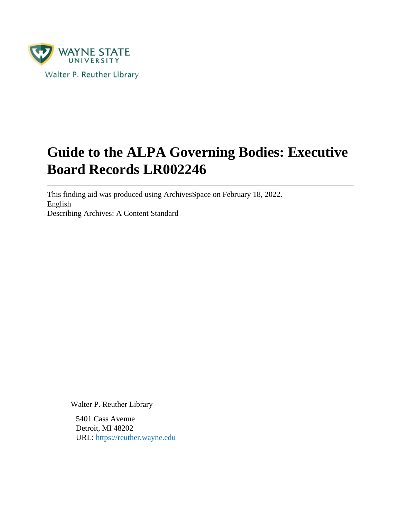

# **Guide to the ALPA Governing Bodies: Executive Board Records LR002246**

This finding aid was produced using ArchivesSpace on February 18, 2022. English Describing Archives: A Content Standard

Walter P. Reuther Library

5401 Cass Avenue Detroit, MI 48202 URL:<https://reuther.wayne.edu>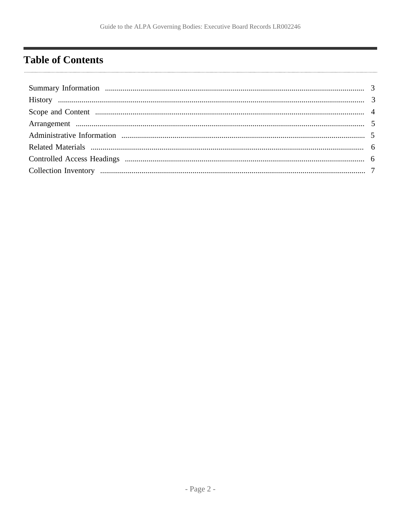## <span id="page-1-0"></span>**Table of Contents**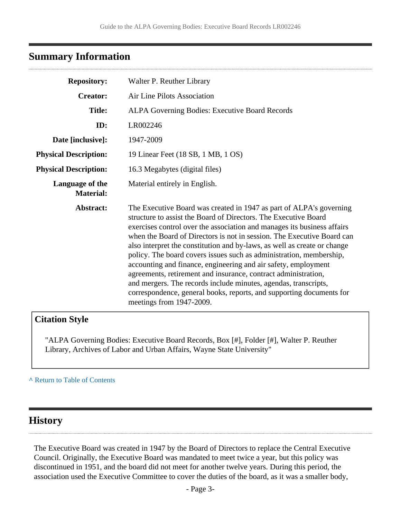### <span id="page-2-0"></span>**Summary Information**

| <b>Repository:</b>                  | Walter P. Reuther Library                                                                                                                                                                                                                                                                                                                                                                                                                                                                                                                                                                                                                                                                                                                                 |
|-------------------------------------|-----------------------------------------------------------------------------------------------------------------------------------------------------------------------------------------------------------------------------------------------------------------------------------------------------------------------------------------------------------------------------------------------------------------------------------------------------------------------------------------------------------------------------------------------------------------------------------------------------------------------------------------------------------------------------------------------------------------------------------------------------------|
| <b>Creator:</b>                     | Air Line Pilots Association                                                                                                                                                                                                                                                                                                                                                                                                                                                                                                                                                                                                                                                                                                                               |
| <b>Title:</b>                       | ALPA Governing Bodies: Executive Board Records                                                                                                                                                                                                                                                                                                                                                                                                                                                                                                                                                                                                                                                                                                            |
| ID:                                 | LR002246                                                                                                                                                                                                                                                                                                                                                                                                                                                                                                                                                                                                                                                                                                                                                  |
| Date [inclusive]:                   | 1947-2009                                                                                                                                                                                                                                                                                                                                                                                                                                                                                                                                                                                                                                                                                                                                                 |
| <b>Physical Description:</b>        | 19 Linear Feet (18 SB, 1 MB, 1 OS)                                                                                                                                                                                                                                                                                                                                                                                                                                                                                                                                                                                                                                                                                                                        |
| <b>Physical Description:</b>        | 16.3 Megabytes (digital files)                                                                                                                                                                                                                                                                                                                                                                                                                                                                                                                                                                                                                                                                                                                            |
| Language of the<br><b>Material:</b> | Material entirely in English.                                                                                                                                                                                                                                                                                                                                                                                                                                                                                                                                                                                                                                                                                                                             |
| Abstract:                           | The Executive Board was created in 1947 as part of ALPA's governing<br>structure to assist the Board of Directors. The Executive Board<br>exercises control over the association and manages its business affairs<br>when the Board of Directors is not in session. The Executive Board can<br>also interpret the constitution and by-laws, as well as create or change<br>policy. The board covers issues such as administration, membership,<br>accounting and finance, engineering and air safety, employment<br>agreements, retirement and insurance, contract administration,<br>and mergers. The records include minutes, agendas, transcripts,<br>correspondence, general books, reports, and supporting documents for<br>meetings from 1947-2009. |

### **Citation Style**

"ALPA Governing Bodies: Executive Board Records, Box [#], Folder [#], Walter P. Reuther Library, Archives of Labor and Urban Affairs, Wayne State University"

#### **^** [Return to Table of Contents](#page-1-0)

### <span id="page-2-1"></span>**History**

The Executive Board was created in 1947 by the Board of Directors to replace the Central Executive Council. Originally, the Executive Board was mandated to meet twice a year, but this policy was discontinued in 1951, and the board did not meet for another twelve years. During this period, the association used the Executive Committee to cover the duties of the board, as it was a smaller body,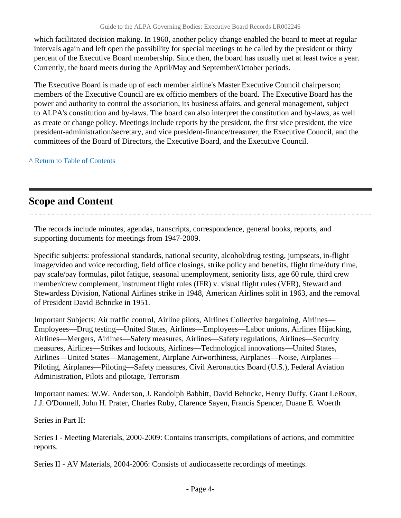which facilitated decision making. In 1960, another policy change enabled the board to meet at regular intervals again and left open the possibility for special meetings to be called by the president or thirty percent of the Executive Board membership. Since then, the board has usually met at least twice a year. Currently, the board meets during the April/May and September/October periods.

The Executive Board is made up of each member airline's Master Executive Council chairperson; members of the Executive Council are ex officio members of the board. The Executive Board has the power and authority to control the association, its business affairs, and general management, subject to ALPA's constitution and by-laws. The board can also interpret the constitution and by-laws, as well as create or change policy. Meetings include reports by the president, the first vice president, the vice president-administration/secretary, and vice president-finance/treasurer, the Executive Council, and the committees of the Board of Directors, the Executive Board, and the Executive Council.

**^** [Return to Table of Contents](#page-1-0)

## <span id="page-3-0"></span>**Scope and Content**

The records include minutes, agendas, transcripts, correspondence, general books, reports, and supporting documents for meetings from 1947-2009.

Specific subjects: professional standards, national security, alcohol/drug testing, jumpseats, in-flight image/video and voice recording, field office closings, strike policy and benefits, flight time/duty time, pay scale/pay formulas, pilot fatigue, seasonal unemployment, seniority lists, age 60 rule, third crew member/crew complement, instrument flight rules (IFR) v. visual flight rules (VFR), Steward and Stewardess Division, National Airlines strike in 1948, American Airlines split in 1963, and the removal of President David Behncke in 1951.

Important Subjects: Air traffic control, Airline pilots, Airlines Collective bargaining, Airlines— Employees—Drug testing—United States, Airlines—Employees—Labor unions, Airlines Hijacking, Airlines—Mergers, Airlines—Safety measures, Airlines—Safety regulations, Airlines—Security measures, Airlines—Strikes and lockouts, Airlines—Technological innovations—United States, Airlines—United States—Management, Airplane Airworthiness, Airplanes—Noise, Airplanes— Piloting, Airplanes—Piloting—Safety measures, Civil Aeronautics Board (U.S.), Federal Aviation Administration, Pilots and pilotage, Terrorism

Important names: W.W. Anderson, J. Randolph Babbitt, David Behncke, Henry Duffy, Grant LeRoux, J.J. O'Donnell, John H. Prater, Charles Ruby, Clarence Sayen, Francis Spencer, Duane E. Woerth

Series in Part II:

Series I - Meeting Materials, 2000-2009: Contains transcripts, compilations of actions, and committee reports.

Series II - AV Materials, 2004-2006: Consists of audiocassette recordings of meetings.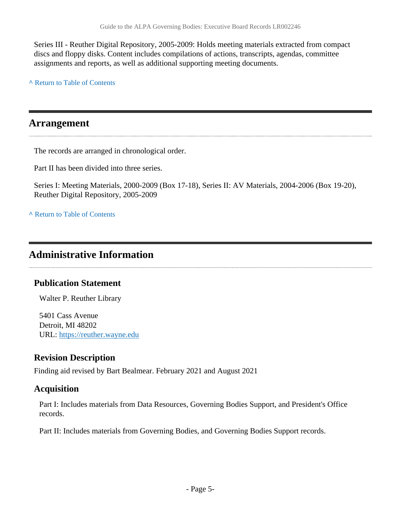Series III - Reuther Digital Repository, 2005-2009: Holds meeting materials extracted from compact discs and floppy disks. Content includes compilations of actions, transcripts, agendas, committee assignments and reports, as well as additional supporting meeting documents.

**^** [Return to Table of Contents](#page-1-0)

### <span id="page-4-0"></span>**Arrangement**

The records are arranged in chronological order.

Part II has been divided into three series.

Series I: Meeting Materials, 2000-2009 (Box 17-18), Series II: AV Materials, 2004-2006 (Box 19-20), Reuther Digital Repository, 2005-2009

**^** [Return to Table of Contents](#page-1-0)

## <span id="page-4-1"></span>**Administrative Information**

### **Publication Statement**

Walter P. Reuther Library

5401 Cass Avenue Detroit, MI 48202 URL:<https://reuther.wayne.edu>

### **Revision Description**

Finding aid revised by Bart Bealmear. February 2021 and August 2021

### **Acquisition**

Part I: Includes materials from Data Resources, Governing Bodies Support, and President's Office records.

Part II: Includes materials from Governing Bodies, and Governing Bodies Support records.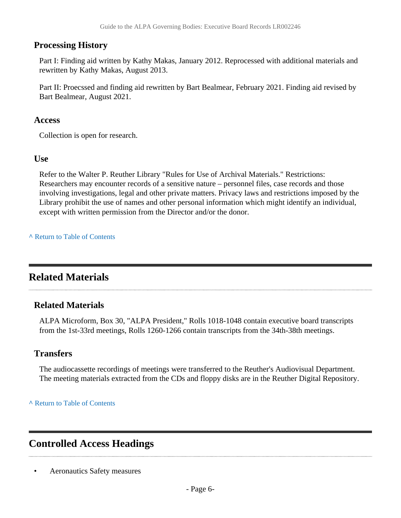#### **Processing History**

Part I: Finding aid written by Kathy Makas, January 2012. Reprocessed with additional materials and rewritten by Kathy Makas, August 2013.

Part II: Proecssed and finding aid rewritten by Bart Bealmear, February 2021. Finding aid revised by Bart Bealmear, August 2021.

#### **Access**

Collection is open for research.

#### **Use**

Refer to the Walter P. Reuther Library "Rules for Use of Archival Materials." Restrictions: Researchers may encounter records of a sensitive nature – personnel files, case records and those involving investigations, legal and other private matters. Privacy laws and restrictions imposed by the Library prohibit the use of names and other personal information which might identify an individual, except with written permission from the Director and/or the donor.

#### **^** [Return to Table of Contents](#page-1-0)

## <span id="page-5-0"></span>**Related Materials**

#### **Related Materials**

ALPA Microform, Box 30, "ALPA President," Rolls 1018-1048 contain executive board transcripts from the 1st-33rd meetings, Rolls 1260-1266 contain transcripts from the 34th-38th meetings.

### **Transfers**

The audiocassette recordings of meetings were transferred to the Reuther's Audiovisual Department. The meeting materials extracted from the CDs and floppy disks are in the Reuther Digital Repository.

#### **^** [Return to Table of Contents](#page-1-0)

## <span id="page-5-1"></span>**Controlled Access Headings**

• Aeronautics Safety measures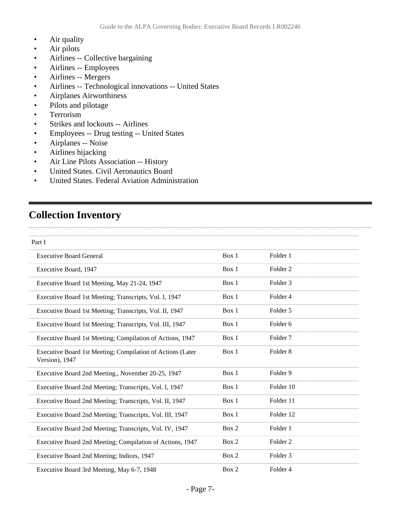- Air quality
- Air pilots
- Airlines -- Collective bargaining
- Airlines -- Employees
- Airlines -- Mergers
- Airlines -- Technological innovations -- United States
- Airplanes Airworthiness
- Pilots and pilotage
- Terrorism
- Strikes and lockouts -- Airlines
- Employees -- Drug testing -- United States
- Airplanes -- Noise
- Airlines hijacking
- Air Line Pilots Association -- History
- United States. Civil Aeronautics Board
- United States. Federal Aviation Administration

## <span id="page-6-0"></span>**Collection Inventory**

| Part I                                                                       |       |                     |  |
|------------------------------------------------------------------------------|-------|---------------------|--|
| <b>Executive Board General</b>                                               | Box 1 | Folder 1            |  |
| Executive Board, 1947                                                        | Box 1 | Folder <sub>2</sub> |  |
| Executive Board 1st Meeting, May 21-24, 1947                                 | Box 1 | Folder <sub>3</sub> |  |
| Executive Board 1st Meeting; Transcripts, Vol. I, 1947                       | Box 1 | Folder 4            |  |
| Executive Board 1st Meeting; Transcripts, Vol. II, 1947                      | Box 1 | Folder 5            |  |
| Executive Board 1st Meeting; Transcripts, Vol. III, 1947                     | Box 1 | Folder <sub>6</sub> |  |
| Executive Board 1st Meeting; Compilation of Actions, 1947                    | Box 1 | Folder <sub>7</sub> |  |
| Executive Board 1st Meeting; Compilation of Actions (Later<br>Version), 1947 | Box 1 | Folder <sub>8</sub> |  |
| Executive Board 2nd Meeting., November 20-25, 1947                           | Box 1 | Folder 9            |  |
| Executive Board 2nd Meeting; Transcripts, Vol. I, 1947                       | Box 1 | Folder 10           |  |
| Executive Board 2nd Meeting; Transcripts, Vol. II, 1947                      | Box 1 | Folder 11           |  |
| Executive Board 2nd Meeting; Transcripts, Vol. III, 1947                     | Box 1 | Folder 12           |  |
| Executive Board 2nd Meeting; Transcripts, Vol. IV, 1947                      | Box 2 | Folder 1            |  |
| Executive Board 2nd Meeting; Compilation of Actions, 1947                    | Box 2 | Folder <sub>2</sub> |  |
| Executive Board 2nd Meeting; Indices, 1947                                   | Box 2 | Folder <sub>3</sub> |  |
| Executive Board 3rd Meeting, May 6-7, 1948                                   | Box 2 | Folder 4            |  |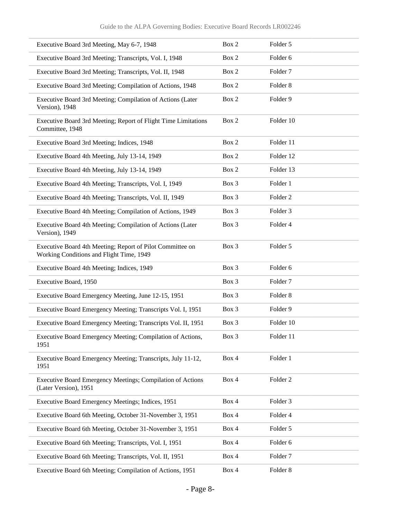| Executive Board 3rd Meeting, May 6-7, 1948                                                            | Box 2 | Folder 5            |
|-------------------------------------------------------------------------------------------------------|-------|---------------------|
| Executive Board 3rd Meeting; Transcripts, Vol. I, 1948                                                | Box 2 | Folder 6            |
| Executive Board 3rd Meeting; Transcripts, Vol. II, 1948                                               | Box 2 | Folder <sub>7</sub> |
| Executive Board 3rd Meeting; Compilation of Actions, 1948                                             | Box 2 | Folder <sub>8</sub> |
| Executive Board 3rd Meeting; Compilation of Actions (Later<br>Version), 1948                          | Box 2 | Folder 9            |
| Executive Board 3rd Meeting; Report of Flight Time Limitations<br>Committee, 1948                     | Box 2 | Folder 10           |
| Executive Board 3rd Meeting; Indices, 1948                                                            | Box 2 | Folder 11           |
| Executive Board 4th Meeting, July 13-14, 1949                                                         | Box 2 | Folder 12           |
| Executive Board 4th Meeting, July 13-14, 1949                                                         | Box 2 | Folder 13           |
| Executive Board 4th Meeting; Transcripts, Vol. I, 1949                                                | Box 3 | Folder 1            |
| Executive Board 4th Meeting; Transcripts, Vol. II, 1949                                               | Box 3 | Folder <sub>2</sub> |
| Executive Board 4th Meeting; Compilation of Actions, 1949                                             | Box 3 | Folder 3            |
| Executive Board 4th Meeting; Compilation of Actions (Later<br>Version), 1949                          | Box 3 | Folder 4            |
| Executive Board 4th Meeting; Report of Pilot Committee on<br>Working Conditions and Flight Time, 1949 | Box 3 | Folder 5            |
| Executive Board 4th Meeting; Indices, 1949                                                            | Box 3 | Folder 6            |
| Executive Board, 1950                                                                                 | Box 3 | Folder <sub>7</sub> |
| Executive Board Emergency Meeting, June 12-15, 1951                                                   | Box 3 | Folder <sub>8</sub> |
| Executive Board Emergency Meeting; Transcripts Vol. I, 1951                                           | Box 3 | Folder 9            |
| Executive Board Emergency Meeting; Transcripts Vol. II, 1951                                          | Box 3 | Folder 10           |
| Executive Board Emergency Meeting; Compilation of Actions,<br>1951                                    | Box 3 | Folder 11           |
| Executive Board Emergency Meeting; Transcripts, July 11-12,<br>1951                                   | Box 4 | Folder 1            |
| Executive Board Emergency Meetings; Compilation of Actions<br>(Later Version), 1951                   | Box 4 | Folder <sub>2</sub> |
| Executive Board Emergency Meetings; Indices, 1951                                                     | Box 4 | Folder 3            |
| Executive Board 6th Meeting, October 31-November 3, 1951                                              | Box 4 | Folder 4            |
| Executive Board 6th Meeting, October 31-November 3, 1951                                              | Box 4 | Folder 5            |
| Executive Board 6th Meeting; Transcripts, Vol. I, 1951                                                | Box 4 | Folder 6            |
| Executive Board 6th Meeting; Transcripts, Vol. II, 1951                                               | Box 4 | Folder <sub>7</sub> |
| Executive Board 6th Meeting; Compilation of Actions, 1951                                             | Box 4 | Folder 8            |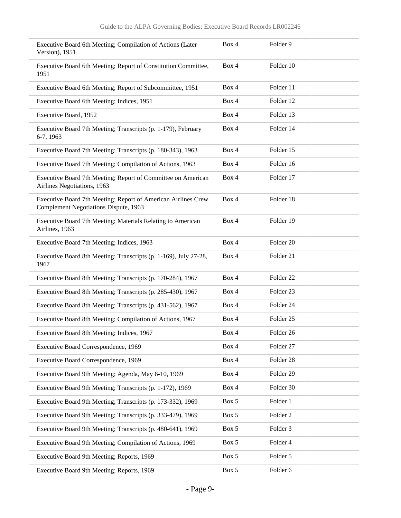| Executive Board 6th Meeting; Compilation of Actions (Later<br>Version), 1951                           | Box 4 | Folder 9             |
|--------------------------------------------------------------------------------------------------------|-------|----------------------|
| Executive Board 6th Meeting; Report of Constitution Committee,<br>1951                                 | Box 4 | Folder 10            |
| Executive Board 6th Meeting; Report of Subcommittee, 1951                                              | Box 4 | Folder 11            |
| Executive Board 6th Meeting; Indices, 1951                                                             | Box 4 | Folder 12            |
| Executive Board, 1952                                                                                  | Box 4 | Folder 13            |
| Executive Board 7th Meeting; Transcripts (p. 1-179), February<br>6-7, 1963                             | Box 4 | Folder 14            |
| Executive Board 7th Meeting; Transcripts (p. 180-343), 1963                                            | Box 4 | Folder 15            |
| Executive Board 7th Meeting; Compilation of Actions, 1963                                              | Box 4 | Folder 16            |
| Executive Board 7th Meeting; Report of Committee on American<br>Airlines Negotiations, 1963            | Box 4 | Folder 17            |
| Executive Board 7th Meeting; Report of American Airlines Crew<br>Complement Negotiations Dispute, 1963 | Box 4 | Folder 18            |
| Executive Board 7th Meeting; Materials Relating to American<br>Airlines, 1963                          | Box 4 | Folder 19            |
| Executive Board 7th Meeting; Indices, 1963                                                             | Box 4 | Folder <sub>20</sub> |
| Executive Board 8th Meeting; Transcripts (p. 1-169), July 27-28,<br>1967                               | Box 4 | Folder 21            |
| Executive Board 8th Meeting; Transcripts (p. 170-284), 1967                                            | Box 4 | Folder <sub>22</sub> |
| Executive Board 8th Meeting; Transcripts (p. 285-430), 1967                                            | Box 4 | Folder <sub>23</sub> |
| Executive Board 8th Meeting; Transcripts (p. 431-562), 1967                                            | Box 4 | Folder 24            |
| Executive Board 8th Meeting; Compilation of Actions, 1967                                              | Box 4 | Folder <sub>25</sub> |
| Executive Board 8th Meeting; Indices, 1967                                                             | Box 4 | Folder 26            |
| Executive Board Correspondence, 1969                                                                   | Box 4 | Folder 27            |
| Executive Board Correspondence, 1969                                                                   | Box 4 | Folder 28            |
| Executive Board 9th Meeting; Agenda, May 6-10, 1969                                                    | Box 4 | Folder 29            |
| Executive Board 9th Meeting; Transcripts (p. 1-172), 1969                                              | Box 4 | Folder 30            |
| Executive Board 9th Meeting; Transcripts (p. 173-332), 1969                                            | Box 5 | Folder 1             |
| Executive Board 9th Meeting; Transcripts (p. 333-479), 1969                                            | Box 5 | Folder <sub>2</sub>  |
| Executive Board 9th Meeting; Transcripts (p. 480-641), 1969                                            | Box 5 | Folder 3             |
| Executive Board 9th Meeting; Compilation of Actions, 1969                                              | Box 5 | Folder 4             |
| Executive Board 9th Meeting; Reports, 1969                                                             | Box 5 | Folder 5             |
| Executive Board 9th Meeting; Reports, 1969                                                             | Box 5 | Folder 6             |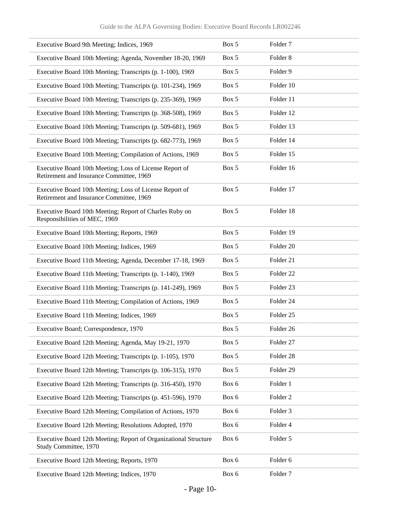| Executive Board 9th Meeting; Indices, 1969                                                          | Box 5 | Folder <sub>7</sub>  |
|-----------------------------------------------------------------------------------------------------|-------|----------------------|
| Executive Board 10th Meeting; Agenda, November 18-20, 1969                                          | Box 5 | Folder <sub>8</sub>  |
| Executive Board 10th Meeting; Transcripts (p. 1-100), 1969                                          | Box 5 | Folder 9             |
| Executive Board 10th Meeting; Transcripts (p. 101-234), 1969                                        | Box 5 | Folder 10            |
| Executive Board 10th Meeting; Transcripts (p. 235-369), 1969                                        | Box 5 | Folder 11            |
| Executive Board 10th Meeting; Transcripts (p. 368-508), 1969                                        | Box 5 | Folder 12            |
| Executive Board 10th Meeting; Transcripts (p. 509-681), 1969                                        | Box 5 | Folder 13            |
| Executive Board 10th Meeting; Transcripts (p. 682-773), 1969                                        | Box 5 | Folder 14            |
| Executive Board 10th Meeting; Compilation of Actions, 1969                                          | Box 5 | Folder 15            |
| Executive Board 10th Meeting; Loss of License Report of<br>Retirement and Insurance Committee, 1969 | Box 5 | Folder 16            |
| Executive Board 10th Meeting; Loss of License Report of<br>Retirement and Insurance Committee, 1969 | Box 5 | Folder 17            |
| Executive Board 10th Meeting; Report of Charles Ruby on<br>Responsibilities of MEC, 1969            | Box 5 | Folder 18            |
| Executive Board 10th Meeting; Reports, 1969                                                         | Box 5 | Folder 19            |
| Executive Board 10th Meeting; Indices, 1969                                                         | Box 5 | Folder 20            |
| Executive Board 11th Meeting; Agenda, December 17-18, 1969                                          | Box 5 | Folder 21            |
| Executive Board 11th Meeting; Transcripts (p. 1-140), 1969                                          | Box 5 | Folder <sub>22</sub> |
| Executive Board 11th Meeting; Transcripts (p. 141-249), 1969                                        | Box 5 | Folder <sub>23</sub> |
| Executive Board 11th Meeting; Compilation of Actions, 1969                                          | Box 5 | Folder 24            |
| Executive Board 11th Meeting; Indices, 1969                                                         | Box 5 | Folder <sub>25</sub> |
| Executive Board; Correspondence, 1970                                                               | Box 5 | Folder 26            |
| Executive Board 12th Meeting; Agenda, May 19-21, 1970                                               | Box 5 | Folder 27            |
| Executive Board 12th Meeting; Transcripts (p. 1-105), 1970                                          | Box 5 | Folder 28            |
| Executive Board 12th Meeting; Transcripts (p. 106-315), 1970                                        | Box 5 | Folder 29            |
| Executive Board 12th Meeting; Transcripts (p. 316-450), 1970                                        | Box 6 | Folder 1             |
| Executive Board 12th Meeting; Transcripts (p. 451-596), 1970                                        | Box 6 | Folder <sub>2</sub>  |
| Executive Board 12th Meeting; Compilation of Actions, 1970                                          | Box 6 | Folder 3             |
| Executive Board 12th Meeting; Resolutions Adopted, 1970                                             | Box 6 | Folder 4             |
| Executive Board 12th Meeting; Report of Organizational Structure<br>Study Committee, 1970           | Box 6 | Folder 5             |
| Executive Board 12th Meeting; Reports, 1970                                                         | Box 6 | Folder 6             |
| Executive Board 12th Meeting; Indices, 1970                                                         | Box 6 | Folder <sub>7</sub>  |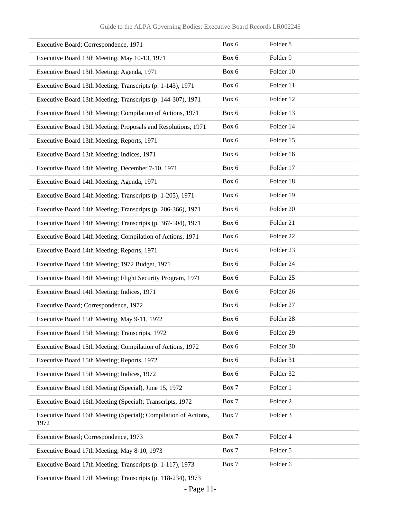| Executive Board; Correspondence, 1971                                   | Box 6 | Folder <sub>8</sub>  |
|-------------------------------------------------------------------------|-------|----------------------|
| Executive Board 13th Meeting, May 10-13, 1971                           | Box 6 | Folder 9             |
| Executive Board 13th Meeting; Agenda, 1971                              | Box 6 | Folder 10            |
| Executive Board 13th Meeting; Transcripts (p. 1-143), 1971              | Box 6 | Folder 11            |
| Executive Board 13th Meeting; Transcripts (p. 144-307), 1971            | Box 6 | Folder 12            |
| Executive Board 13th Meeting; Compilation of Actions, 1971              | Box 6 | Folder 13            |
| Executive Board 13th Meeting; Proposals and Resolutions, 1971           | Box 6 | Folder 14            |
| Executive Board 13th Meeting; Reports, 1971                             | Box 6 | Folder 15            |
| Executive Board 13th Meeting; Indices, 1971                             | Box 6 | Folder 16            |
| Executive Board 14th Meeting, December 7-10, 1971                       | Box 6 | Folder 17            |
| Executive Board 14th Meeting; Agenda, 1971                              | Box 6 | Folder 18            |
| Executive Board 14th Meeting; Transcripts (p. 1-205), 1971              | Box 6 | Folder 19            |
| Executive Board 14th Meeting; Transcripts (p. 206-366), 1971            | Box 6 | Folder 20            |
| Executive Board 14th Meeting; Transcripts (p. 367-504), 1971            | Box 6 | Folder 21            |
| Executive Board 14th Meeting; Compilation of Actions, 1971              | Box 6 | Folder <sub>22</sub> |
| Executive Board 14th Meeting; Reports, 1971                             | Box 6 | Folder 23            |
| Executive Board 14th Meeting; 1972 Budget, 1971                         | Box 6 | Folder 24            |
| Executive Board 14th Meeting; Flight Security Program, 1971             | Box 6 | Folder 25            |
| Executive Board 14th Meeting; Indices, 1971                             | Box 6 | Folder 26            |
| Executive Board; Correspondence, 1972                                   | Box 6 | Folder 27            |
| Executive Board 15th Meeting, May 9-11, 1972                            | Box 6 | Folder 28            |
| Executive Board 15th Meeting; Transcripts, 1972                         | Box 6 | Folder 29            |
| Executive Board 15th Meeting; Compilation of Actions, 1972              | Box 6 | Folder 30            |
| Executive Board 15th Meeting; Reports, 1972                             | Box 6 | Folder 31            |
| Executive Board 15th Meeting; Indices, 1972                             | Box 6 | Folder 32            |
| Executive Board 16th Meeting (Special), June 15, 1972                   | Box 7 | Folder 1             |
| Executive Board 16th Meeting (Special); Transcripts, 1972               | Box 7 | Folder <sub>2</sub>  |
| Executive Board 16th Meeting (Special); Compilation of Actions,<br>1972 | Box 7 | Folder 3             |
| Executive Board; Correspondence, 1973                                   | Box 7 | Folder 4             |
| Executive Board 17th Meeting, May 8-10, 1973                            | Box 7 | Folder 5             |
| Executive Board 17th Meeting; Transcripts (p. 1-117), 1973              | Box 7 | Folder 6             |

Executive Board 17th Meeting; Transcripts (p. 118-234), 1973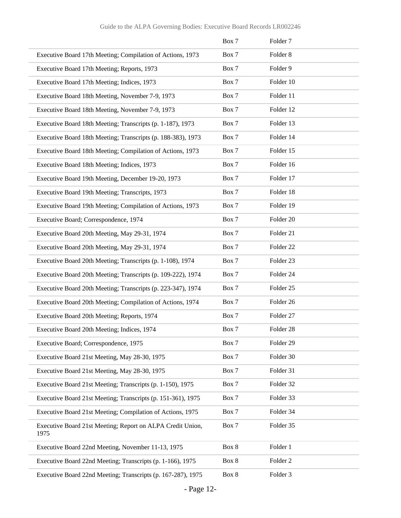|                                                                    | Box 7 | Folder <sub>7</sub>  |
|--------------------------------------------------------------------|-------|----------------------|
| Executive Board 17th Meeting; Compilation of Actions, 1973         | Box 7 | Folder <sub>8</sub>  |
| Executive Board 17th Meeting; Reports, 1973                        | Box 7 | Folder 9             |
| Executive Board 17th Meeting; Indices, 1973                        | Box 7 | Folder 10            |
| Executive Board 18th Meeting, November 7-9, 1973                   | Box 7 | Folder 11            |
| Executive Board 18th Meeting, November 7-9, 1973                   | Box 7 | Folder 12            |
| Executive Board 18th Meeting; Transcripts (p. 1-187), 1973         | Box 7 | Folder 13            |
| Executive Board 18th Meeting; Transcripts (p. 188-383), 1973       | Box 7 | Folder 14            |
| Executive Board 18th Meeting; Compilation of Actions, 1973         | Box 7 | Folder 15            |
| Executive Board 18th Meeting; Indices, 1973                        | Box 7 | Folder 16            |
| Executive Board 19th Meeting, December 19-20, 1973                 | Box 7 | Folder 17            |
| Executive Board 19th Meeting; Transcripts, 1973                    | Box 7 | Folder 18            |
| Executive Board 19th Meeting; Compilation of Actions, 1973         | Box 7 | Folder 19            |
| Executive Board; Correspondence, 1974                              | Box 7 | Folder 20            |
| Executive Board 20th Meeting, May 29-31, 1974                      | Box 7 | Folder 21            |
| Executive Board 20th Meeting, May 29-31, 1974                      | Box 7 | Folder <sub>22</sub> |
| Executive Board 20th Meeting; Transcripts (p. 1-108), 1974         | Box 7 | Folder <sub>23</sub> |
| Executive Board 20th Meeting; Transcripts (p. 109-222), 1974       | Box 7 | Folder 24            |
| Executive Board 20th Meeting; Transcripts (p. 223-347), 1974       | Box 7 | Folder 25            |
| Executive Board 20th Meeting; Compilation of Actions, 1974         | Box 7 | Folder 26            |
| Executive Board 20th Meeting; Reports, 1974                        | Box 7 | Folder 27            |
| Executive Board 20th Meeting; Indices, 1974                        | Box 7 | Folder <sub>28</sub> |
| Executive Board; Correspondence, 1975                              | Box 7 | Folder 29            |
| Executive Board 21st Meeting, May 28-30, 1975                      | Box 7 | Folder 30            |
| Executive Board 21st Meeting, May 28-30, 1975                      | Box 7 | Folder 31            |
| Executive Board 21st Meeting; Transcripts (p. 1-150), 1975         | Box 7 | Folder 32            |
| Executive Board 21st Meeting; Transcripts (p. 151-361), 1975       | Box 7 | Folder 33            |
| Executive Board 21st Meeting; Compilation of Actions, 1975         | Box 7 | Folder 34            |
| Executive Board 21st Meeting; Report on ALPA Credit Union,<br>1975 | Box 7 | Folder 35            |
| Executive Board 22nd Meeting, November 11-13, 1975                 | Box 8 | Folder 1             |
| Executive Board 22nd Meeting; Transcripts (p. 1-166), 1975         | Box 8 | Folder <sub>2</sub>  |
| Executive Board 22nd Meeting; Transcripts (p. 167-287), 1975       | Box 8 | Folder 3             |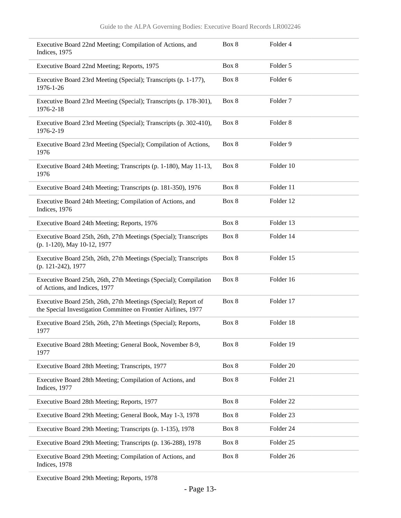| Executive Board 22nd Meeting; Compilation of Actions, and<br>Indices, 1975                                                       | Box 8 | Folder 4             |
|----------------------------------------------------------------------------------------------------------------------------------|-------|----------------------|
| Executive Board 22nd Meeting; Reports, 1975                                                                                      | Box 8 | Folder 5             |
| Executive Board 23rd Meeting (Special); Transcripts (p. 1-177),<br>1976-1-26                                                     | Box 8 | Folder <sub>6</sub>  |
| Executive Board 23rd Meeting (Special); Transcripts (p. 178-301),<br>1976-2-18                                                   | Box 8 | Folder <sub>7</sub>  |
| Executive Board 23rd Meeting (Special); Transcripts (p. 302-410),<br>1976-2-19                                                   | Box 8 | Folder <sub>8</sub>  |
| Executive Board 23rd Meeting (Special); Compilation of Actions,<br>1976                                                          | Box 8 | Folder 9             |
| Executive Board 24th Meeting; Transcripts (p. 1-180), May 11-13,<br>1976                                                         | Box 8 | Folder 10            |
| Executive Board 24th Meeting; Transcripts (p. 181-350), 1976                                                                     | Box 8 | Folder 11            |
| Executive Board 24th Meeting; Compilation of Actions, and<br>Indices, 1976                                                       | Box 8 | Folder 12            |
| Executive Board 24th Meeting; Reports, 1976                                                                                      | Box 8 | Folder 13            |
| Executive Board 25th, 26th, 27th Meetings (Special); Transcripts<br>(p. 1-120), May 10-12, 1977                                  | Box 8 | Folder 14            |
| Executive Board 25th, 26th, 27th Meetings (Special); Transcripts<br>(p. 121-242), 1977                                           | Box 8 | Folder 15            |
| Executive Board 25th, 26th, 27th Meetings (Special); Compilation<br>of Actions, and Indices, 1977                                | Box 8 | Folder 16            |
| Executive Board 25th, 26th, 27th Meetings (Special); Report of<br>the Special Investigation Committee on Frontier Airlines, 1977 | Box 8 | Folder 17            |
| Executive Board 25th, 26th, 27th Meetings (Special); Reports,<br>1977                                                            | Box 8 | Folder 18            |
| Executive Board 28th Meeting; General Book, November 8-9,<br>1977                                                                | Box 8 | Folder 19            |
| Executive Board 28th Meeting; Transcripts, 1977                                                                                  | Box 8 | Folder 20            |
| Executive Board 28th Meeting; Compilation of Actions, and<br>Indices, 1977                                                       | Box 8 | Folder 21            |
| Executive Board 28th Meeting; Reports, 1977                                                                                      | Box 8 | Folder 22            |
| Executive Board 29th Meeting; General Book, May 1-3, 1978                                                                        | Box 8 | Folder <sub>23</sub> |
| Executive Board 29th Meeting; Transcripts (p. 1-135), 1978                                                                       | Box 8 | Folder 24            |
| Executive Board 29th Meeting; Transcripts (p. 136-288), 1978                                                                     | Box 8 | Folder <sub>25</sub> |
| Executive Board 29th Meeting; Compilation of Actions, and<br>Indices, 1978                                                       | Box 8 | Folder 26            |

Executive Board 29th Meeting; Reports, 1978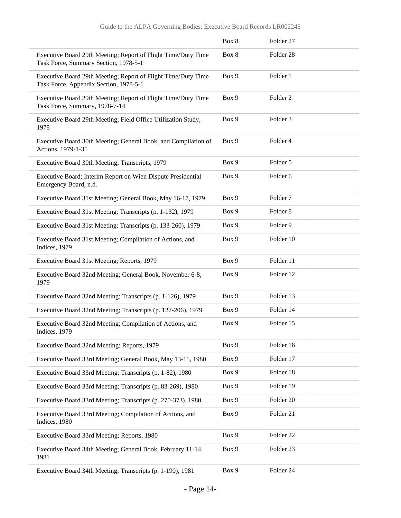|                                                                                                         | Box 8 | Folder 27           |  |
|---------------------------------------------------------------------------------------------------------|-------|---------------------|--|
| Executive Board 29th Meeting; Report of Flight Time/Duty Time<br>Task Force, Summary Section, 1978-5-1  | Box 8 | Folder 28           |  |
| Executive Board 29th Meeting; Report of Flight Time/Duty Time<br>Task Force, Appendix Section, 1978-5-1 | Box 9 | Folder 1            |  |
| Executive Board 29th Meeting; Report of Flight Time/Duty Time<br>Task Force, Summary, 1978-7-14         | Box 9 | Folder <sub>2</sub> |  |
| Executive Board 29th Meeting; Field Office Utilization Study,<br>1978                                   | Box 9 | Folder 3            |  |
| Executive Board 30th Meeting; General Book, and Compilation of<br>Actions, 1979-1-31                    | Box 9 | Folder 4            |  |
| Executive Board 30th Meeting; Transcripts, 1979                                                         | Box 9 | Folder 5            |  |
| Executive Board; Interim Report on Wien Dispute Presidential<br>Emergency Board, n.d.                   | Box 9 | Folder 6            |  |
| Executive Board 31st Meeting; General Book, May 16-17, 1979                                             | Box 9 | Folder <sub>7</sub> |  |
| Executive Board 31st Meeting; Transcripts (p. 1-132), 1979                                              | Box 9 | Folder <sub>8</sub> |  |
| Executive Board 31st Meeting; Transcripts (p. 133-260), 1979                                            | Box 9 | Folder 9            |  |
| Executive Board 31st Meeting; Compilation of Actions, and<br>Indices, 1979                              | Box 9 | Folder 10           |  |
| Executive Board 31st Meeting; Reports, 1979                                                             | Box 9 | Folder 11           |  |
| Executive Board 32nd Meeting; General Book, November 6-8,<br>1979                                       | Box 9 | Folder 12           |  |
| Executive Board 32nd Meeting; Transcripts (p. 1-126), 1979                                              | Box 9 | Folder 13           |  |
| Executive Board 32nd Meeting; Transcripts (p. 127-206), 1979                                            | Box 9 | Folder 14           |  |
| Executive Board 32nd Meeting; Compilation of Actions, and<br>Indices, 1979                              | Box 9 | Folder 15           |  |
| Executive Board 32nd Meeting; Reports, 1979                                                             | Box 9 | Folder 16           |  |
| Executive Board 33rd Meeting; General Book, May 13-15, 1980                                             | Box 9 | Folder 17           |  |
| Executive Board 33rd Meeting; Transcripts (p. 1-82), 1980                                               | Box 9 | Folder 18           |  |
| Executive Board 33rd Meeting; Transcripts (p. 83-269), 1980                                             | Box 9 | Folder 19           |  |
| Executive Board 33rd Meeting; Transcripts (p. 270-373), 1980                                            | Box 9 | Folder 20           |  |
| Executive Board 33rd Meeting; Compilation of Actions, and<br>Indices, 1980                              | Box 9 | Folder 21           |  |
| Executive Board 33rd Meeting; Reports, 1980                                                             | Box 9 | Folder 22           |  |
| Executive Board 34th Meeting; General Book, February 11-14,<br>1981                                     | Box 9 | Folder 23           |  |
| Executive Board 34th Meeting; Transcripts (p. 1-190), 1981                                              | Box 9 | Folder 24           |  |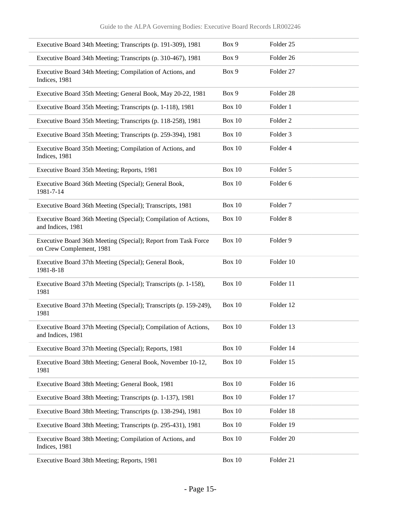| Executive Board 34th Meeting; Transcripts (p. 191-309), 1981                               | Box 9         | Folder <sub>25</sub> |
|--------------------------------------------------------------------------------------------|---------------|----------------------|
| Executive Board 34th Meeting; Transcripts (p. 310-467), 1981                               | Box 9         | Folder 26            |
| Executive Board 34th Meeting; Compilation of Actions, and<br>Indices, 1981                 | Box 9         | Folder 27            |
| Executive Board 35th Meeting; General Book, May 20-22, 1981                                | Box 9         | Folder <sub>28</sub> |
| Executive Board 35th Meeting; Transcripts (p. 1-118), 1981                                 | <b>Box 10</b> | Folder 1             |
| Executive Board 35th Meeting; Transcripts (p. 118-258), 1981                               | <b>Box 10</b> | Folder <sub>2</sub>  |
| Executive Board 35th Meeting; Transcripts (p. 259-394), 1981                               | <b>Box 10</b> | Folder <sub>3</sub>  |
| Executive Board 35th Meeting; Compilation of Actions, and<br>Indices, 1981                 | <b>Box 10</b> | Folder 4             |
| Executive Board 35th Meeting; Reports, 1981                                                | <b>Box 10</b> | Folder 5             |
| Executive Board 36th Meeting (Special); General Book,<br>1981-7-14                         | <b>Box 10</b> | Folder 6             |
| Executive Board 36th Meeting (Special); Transcripts, 1981                                  | <b>Box 10</b> | Folder <sub>7</sub>  |
| Executive Board 36th Meeting (Special); Compilation of Actions,<br>and Indices, 1981       | <b>Box 10</b> | Folder <sub>8</sub>  |
| Executive Board 36th Meeting (Special); Report from Task Force<br>on Crew Complement, 1981 | <b>Box 10</b> | Folder 9             |
| Executive Board 37th Meeting (Special); General Book,<br>1981-8-18                         | <b>Box 10</b> | Folder 10            |
| Executive Board 37th Meeting (Special); Transcripts (p. 1-158),<br>1981                    | <b>Box 10</b> | Folder 11            |
| Executive Board 37th Meeting (Special); Transcripts (p. 159-249),<br>1981                  | Box 10        | Folder 12            |
| Executive Board 37th Meeting (Special); Compilation of Actions,<br>and Indices, 1981       | <b>Box 10</b> | Folder 13            |
| Executive Board 37th Meeting (Special); Reports, 1981                                      | <b>Box 10</b> | Folder 14            |
| Executive Board 38th Meeting; General Book, November 10-12,<br>1981                        | <b>Box 10</b> | Folder 15            |
| Executive Board 38th Meeting; General Book, 1981                                           | Box $10$      | Folder 16            |
| Executive Board 38th Meeting; Transcripts (p. 1-137), 1981                                 | Box 10        | Folder 17            |
| Executive Board 38th Meeting; Transcripts (p. 138-294), 1981                               | <b>Box 10</b> | Folder 18            |
| Executive Board 38th Meeting; Transcripts (p. 295-431), 1981                               | <b>Box 10</b> | Folder 19            |
| Executive Board 38th Meeting; Compilation of Actions, and<br>Indices, 1981                 | <b>Box 10</b> | Folder 20            |
| Executive Board 38th Meeting; Reports, 1981                                                | Box $10$      | Folder 21            |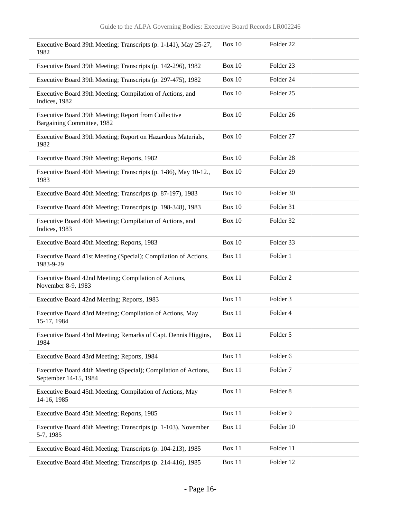| Executive Board 39th Meeting; Transcripts (p. 1-141), May 25-27,<br>1982                 | Box 10        | Folder 22            |  |
|------------------------------------------------------------------------------------------|---------------|----------------------|--|
| Executive Board 39th Meeting; Transcripts (p. 142-296), 1982                             | <b>Box 10</b> | Folder 23            |  |
| Executive Board 39th Meeting; Transcripts (p. 297-475), 1982                             | <b>Box 10</b> | Folder <sub>24</sub> |  |
| Executive Board 39th Meeting; Compilation of Actions, and<br>Indices, 1982               | Box 10        | Folder <sub>25</sub> |  |
| Executive Board 39th Meeting; Report from Collective<br>Bargaining Committee, 1982       | Box 10        | Folder <sub>26</sub> |  |
| Executive Board 39th Meeting; Report on Hazardous Materials,<br>1982                     | <b>Box 10</b> | Folder 27            |  |
| Executive Board 39th Meeting; Reports, 1982                                              | <b>Box 10</b> | Folder 28            |  |
| Executive Board 40th Meeting; Transcripts (p. 1-86), May 10-12.,<br>1983                 | Box 10        | Folder 29            |  |
| Executive Board 40th Meeting; Transcripts (p. 87-197), 1983                              | <b>Box 10</b> | Folder 30            |  |
| Executive Board 40th Meeting; Transcripts (p. 198-348), 1983                             | Box 10        | Folder 31            |  |
| Executive Board 40th Meeting; Compilation of Actions, and<br>Indices, 1983               | Box 10        | Folder 32            |  |
| Executive Board 40th Meeting; Reports, 1983                                              | <b>Box 10</b> | Folder 33            |  |
| Executive Board 41st Meeting (Special); Compilation of Actions,<br>1983-9-29             | Box 11        | Folder 1             |  |
| Executive Board 42nd Meeting; Compilation of Actions,<br>November 8-9, 1983              | Box 11        | Folder <sub>2</sub>  |  |
| Executive Board 42nd Meeting; Reports, 1983                                              | Box 11        | Folder <sub>3</sub>  |  |
| Executive Board 43rd Meeting; Compilation of Actions, May<br>15-17, 1984                 | Box 11        | Folder 4             |  |
| Executive Board 43rd Meeting; Remarks of Capt. Dennis Higgins,<br>1984                   | Box 11        | Folder 5             |  |
| Executive Board 43rd Meeting; Reports, 1984                                              | Box 11        | Folder 6             |  |
| Executive Board 44th Meeting (Special); Compilation of Actions,<br>September 14-15, 1984 | Box 11        | Folder <sub>7</sub>  |  |
| Executive Board 45th Meeting; Compilation of Actions, May<br>14-16, 1985                 | Box 11        | Folder <sub>8</sub>  |  |
| Executive Board 45th Meeting; Reports, 1985                                              | Box 11        | Folder 9             |  |
| Executive Board 46th Meeting; Transcripts (p. 1-103), November<br>5-7, 1985              | Box 11        | Folder 10            |  |
| Executive Board 46th Meeting; Transcripts (p. 104-213), 1985                             | Box 11        | Folder 11            |  |
| Executive Board 46th Meeting; Transcripts (p. 214-416), 1985                             | Box 11        | Folder 12            |  |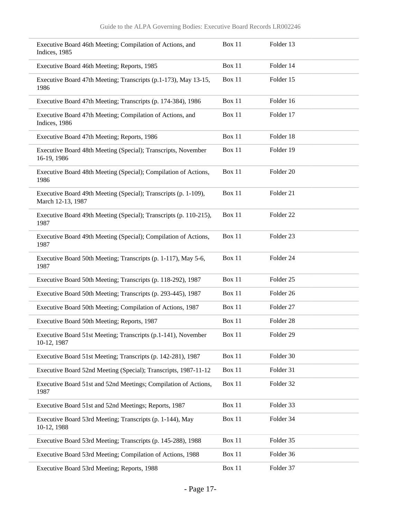| Executive Board 46th Meeting; Compilation of Actions, and<br>Indices, 1985           | Box 11        | Folder 13            |  |
|--------------------------------------------------------------------------------------|---------------|----------------------|--|
| Executive Board 46th Meeting; Reports, 1985                                          | Box 11        | Folder 14            |  |
| Executive Board 47th Meeting; Transcripts (p.1-173), May 13-15,<br>1986              | <b>Box 11</b> | Folder 15            |  |
| Executive Board 47th Meeting; Transcripts (p. 174-384), 1986                         | Box 11        | Folder 16            |  |
| Executive Board 47th Meeting; Compilation of Actions, and<br>Indices, 1986           | Box 11        | Folder 17            |  |
| Executive Board 47th Meeting; Reports, 1986                                          | Box 11        | Folder 18            |  |
| Executive Board 48th Meeting (Special); Transcripts, November<br>16-19, 1986         | Box 11        | Folder 19            |  |
| Executive Board 48th Meeting (Special); Compilation of Actions,<br>1986              | Box 11        | Folder <sub>20</sub> |  |
| Executive Board 49th Meeting (Special); Transcripts (p. 1-109),<br>March 12-13, 1987 | Box 11        | Folder 21            |  |
| Executive Board 49th Meeting (Special); Transcripts (p. 110-215),<br>1987            | Box 11        | Folder <sub>22</sub> |  |
| Executive Board 49th Meeting (Special); Compilation of Actions,<br>1987              | Box 11        | Folder 23            |  |
| Executive Board 50th Meeting; Transcripts (p. 1-117), May 5-6,<br>1987               | Box 11        | Folder 24            |  |
| Executive Board 50th Meeting; Transcripts (p. 118-292), 1987                         | Box 11        | Folder <sub>25</sub> |  |
| Executive Board 50th Meeting; Transcripts (p. 293-445), 1987                         | Box 11        | Folder 26            |  |
| Executive Board 50th Meeting; Compilation of Actions, 1987                           | Box 11        | Folder 27            |  |
| Executive Board 50th Meeting; Reports, 1987                                          | Box 11        | Folder 28            |  |
| Executive Board 51st Meeting; Transcripts (p.1-141), November<br>10-12, 1987         | Box 11        | Folder 29            |  |
| Executive Board 51st Meeting; Transcripts (p. 142-281), 1987                         | Box 11        | Folder 30            |  |
| Executive Board 52nd Meeting (Special); Transcripts, 1987-11-12                      | Box 11        | Folder 31            |  |
| Executive Board 51st and 52nd Meetings; Compilation of Actions,<br>1987              | Box 11        | Folder 32            |  |
| Executive Board 51st and 52nd Meetings; Reports, 1987                                | <b>Box 11</b> | Folder 33            |  |
| Executive Board 53rd Meeting; Transcripts (p. 1-144), May<br>10-12, 1988             | Box 11        | Folder 34            |  |
| Executive Board 53rd Meeting; Transcripts (p. 145-288), 1988                         | Box 11        | Folder 35            |  |
| Executive Board 53rd Meeting; Compilation of Actions, 1988                           | Box 11        | Folder 36            |  |
| Executive Board 53rd Meeting; Reports, 1988                                          | <b>Box 11</b> | Folder 37            |  |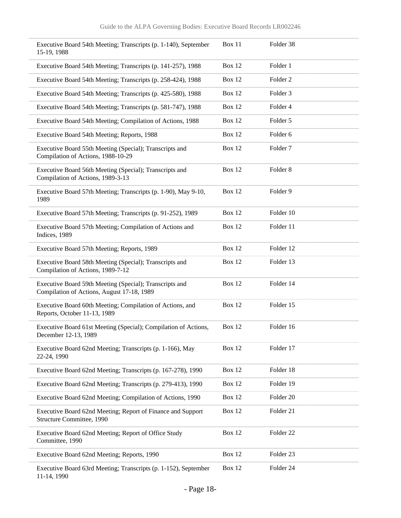| Executive Board 54th Meeting; Transcripts (p. 1-140), September<br>15-19, 1988                        | <b>Box 11</b> | Folder 38           |
|-------------------------------------------------------------------------------------------------------|---------------|---------------------|
| Executive Board 54th Meeting; Transcripts (p. 141-257), 1988                                          | <b>Box 12</b> | Folder 1            |
| Executive Board 54th Meeting; Transcripts (p. 258-424), 1988                                          | <b>Box 12</b> | Folder <sub>2</sub> |
| Executive Board 54th Meeting; Transcripts (p. 425-580), 1988                                          | Box 12        | Folder 3            |
| Executive Board 54th Meeting; Transcripts (p. 581-747), 1988                                          | <b>Box 12</b> | Folder 4            |
| Executive Board 54th Meeting; Compilation of Actions, 1988                                            | Box 12        | Folder 5            |
| Executive Board 54th Meeting; Reports, 1988                                                           | Box 12        | Folder <sub>6</sub> |
| Executive Board 55th Meeting (Special); Transcripts and<br>Compilation of Actions, 1988-10-29         | Box 12        | Folder <sub>7</sub> |
| Executive Board 56th Meeting (Special); Transcripts and<br>Compilation of Actions, 1989-3-13          | Box 12        | Folder <sub>8</sub> |
| Executive Board 57th Meeting; Transcripts (p. 1-90), May 9-10,<br>1989                                | Box 12        | Folder 9            |
| Executive Board 57th Meeting; Transcripts (p. 91-252), 1989                                           | <b>Box 12</b> | Folder 10           |
| Executive Board 57th Meeting; Compilation of Actions and<br>Indices, 1989                             | Box 12        | Folder 11           |
| Executive Board 57th Meeting; Reports, 1989                                                           | Box 12        | Folder 12           |
| Executive Board 58th Meeting (Special); Transcripts and<br>Compilation of Actions, 1989-7-12          | <b>Box 12</b> | Folder 13           |
| Executive Board 59th Meeting (Special); Transcripts and<br>Compilation of Actions, August 17-18, 1989 | <b>Box 12</b> | Folder 14           |
| Executive Board 60th Meeting; Compilation of Actions, and<br>Reports, October 11-13, 1989             | Box 12        | Folder 15           |
| Executive Board 61st Meeting (Special); Compilation of Actions,<br>December 12-13, 1989               | <b>Box 12</b> | Folder 16           |
| Executive Board 62nd Meeting; Transcripts (p. 1-166), May<br>22-24, 1990                              | <b>Box 12</b> | Folder 17           |
| Executive Board 62nd Meeting; Transcripts (p. 167-278), 1990                                          | <b>Box 12</b> | Folder 18           |
| Executive Board 62nd Meeting; Transcripts (p. 279-413), 1990                                          | <b>Box 12</b> | Folder 19           |
| Executive Board 62nd Meeting; Compilation of Actions, 1990                                            | <b>Box 12</b> | Folder 20           |
| Executive Board 62nd Meeting; Report of Finance and Support<br>Structure Committee, 1990              | <b>Box 12</b> | Folder 21           |
| Executive Board 62nd Meeting; Report of Office Study<br>Committee, 1990                               | <b>Box 12</b> | Folder 22           |
| Executive Board 62nd Meeting; Reports, 1990                                                           | <b>Box 12</b> | Folder 23           |
| Executive Board 63rd Meeting; Transcripts (p. 1-152), September<br>11-14, 1990                        | <b>Box 12</b> | Folder 24           |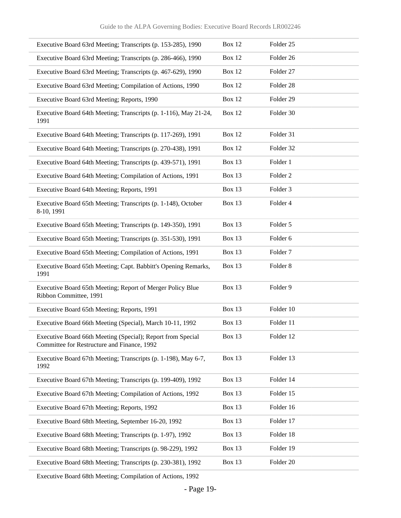| Executive Board 63rd Meeting; Transcripts (p. 153-285), 1990                                               | Box 12        | Folder <sub>25</sub> |
|------------------------------------------------------------------------------------------------------------|---------------|----------------------|
| Executive Board 63rd Meeting; Transcripts (p. 286-466), 1990                                               | Box 12        | Folder 26            |
| Executive Board 63rd Meeting; Transcripts (p. 467-629), 1990                                               | <b>Box 12</b> | Folder 27            |
| Executive Board 63rd Meeting; Compilation of Actions, 1990                                                 | Box 12        | Folder 28            |
| Executive Board 63rd Meeting; Reports, 1990                                                                | Box 12        | Folder 29            |
| Executive Board 64th Meeting; Transcripts (p. 1-116), May 21-24,<br>1991                                   | Box 12        | Folder 30            |
| Executive Board 64th Meeting; Transcripts (p. 117-269), 1991                                               | Box 12        | Folder 31            |
| Executive Board 64th Meeting; Transcripts (p. 270-438), 1991                                               | <b>Box 12</b> | Folder 32            |
| Executive Board 64th Meeting; Transcripts (p. 439-571), 1991                                               | Box 13        | Folder 1             |
| Executive Board 64th Meeting; Compilation of Actions, 1991                                                 | Box 13        | Folder <sub>2</sub>  |
| Executive Board 64th Meeting; Reports, 1991                                                                | Box 13        | Folder <sub>3</sub>  |
| Executive Board 65th Meeting; Transcripts (p. 1-148), October<br>8-10, 1991                                | Box 13        | Folder 4             |
| Executive Board 65th Meeting; Transcripts (p. 149-350), 1991                                               | Box 13        | Folder 5             |
| Executive Board 65th Meeting; Transcripts (p. 351-530), 1991                                               | <b>Box 13</b> | Folder 6             |
| Executive Board 65th Meeting; Compilation of Actions, 1991                                                 | <b>Box 13</b> | Folder <sub>7</sub>  |
| Executive Board 65th Meeting; Capt. Babbitt's Opening Remarks,<br>1991                                     | <b>Box 13</b> | Folder <sub>8</sub>  |
| Executive Board 65th Meeting; Report of Merger Policy Blue<br>Ribbon Committee, 1991                       | Box 13        | Folder 9             |
| Executive Board 65th Meeting; Reports, 1991                                                                | Box 13        | Folder 10            |
| Executive Board 66th Meeting (Special), March 10-11, 1992                                                  | Box 13        | Folder 11            |
| Executive Board 66th Meeting (Special); Report from Special<br>Committee for Restructure and Finance, 1992 | Box 13        | Folder 12            |
| Executive Board 67th Meeting; Transcripts (p. 1-198), May 6-7,<br>1992                                     | Box 13        | Folder 13            |
| Executive Board 67th Meeting; Transcripts (p. 199-409), 1992                                               | Box 13        | Folder 14            |
| Executive Board 67th Meeting; Compilation of Actions, 1992                                                 | Box 13        | Folder 15            |
| Executive Board 67th Meeting; Reports, 1992                                                                | Box 13        | Folder 16            |
| Executive Board 68th Meeting, September 16-20, 1992                                                        | Box 13        | Folder 17            |
| Executive Board 68th Meeting; Transcripts (p. 1-97), 1992                                                  | Box 13        | Folder 18            |
| Executive Board 68th Meeting; Transcripts (p. 98-229), 1992                                                | Box 13        | Folder 19            |
| Executive Board 68th Meeting; Transcripts (p. 230-381), 1992                                               | Box 13        | Folder 20            |
|                                                                                                            |               |                      |

Executive Board 68th Meeting; Compilation of Actions, 1992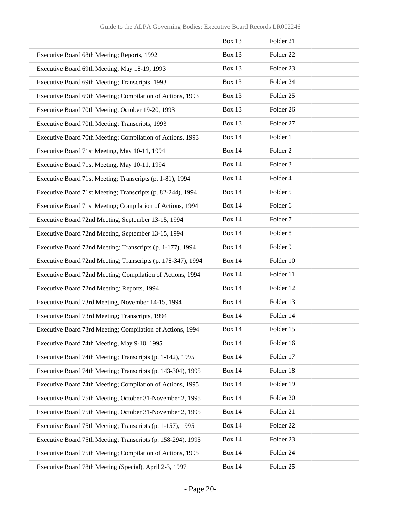|                                                              | Box 13        | Folder 21            |
|--------------------------------------------------------------|---------------|----------------------|
| Executive Board 68th Meeting; Reports, 1992                  | <b>Box 13</b> | Folder <sub>22</sub> |
| Executive Board 69th Meeting, May 18-19, 1993                | Box 13        | Folder 23            |
| Executive Board 69th Meeting; Transcripts, 1993              | Box 13        | Folder 24            |
| Executive Board 69th Meeting; Compilation of Actions, 1993   | Box 13        | Folder <sub>25</sub> |
| Executive Board 70th Meeting, October 19-20, 1993            | Box 13        | Folder 26            |
| Executive Board 70th Meeting; Transcripts, 1993              | Box 13        | Folder 27            |
| Executive Board 70th Meeting; Compilation of Actions, 1993   | <b>Box 14</b> | Folder 1             |
| Executive Board 71st Meeting, May 10-11, 1994                | <b>Box 14</b> | Folder <sub>2</sub>  |
| Executive Board 71st Meeting, May 10-11, 1994                | <b>Box 14</b> | Folder <sub>3</sub>  |
| Executive Board 71st Meeting; Transcripts (p. 1-81), 1994    | <b>Box 14</b> | Folder 4             |
| Executive Board 71st Meeting; Transcripts (p. 82-244), 1994  | <b>Box 14</b> | Folder 5             |
| Executive Board 71st Meeting; Compilation of Actions, 1994   | <b>Box 14</b> | Folder 6             |
| Executive Board 72nd Meeting, September 13-15, 1994          | <b>Box 14</b> | Folder <sub>7</sub>  |
| Executive Board 72nd Meeting, September 13-15, 1994          | <b>Box 14</b> | Folder <sub>8</sub>  |
| Executive Board 72nd Meeting; Transcripts (p. 1-177), 1994   | <b>Box 14</b> | Folder 9             |
| Executive Board 72nd Meeting; Transcripts (p. 178-347), 1994 | <b>Box 14</b> | Folder 10            |
| Executive Board 72nd Meeting; Compilation of Actions, 1994   | <b>Box 14</b> | Folder 11            |
| Executive Board 72nd Meeting; Reports, 1994                  | <b>Box 14</b> | Folder 12            |
| Executive Board 73rd Meeting, November 14-15, 1994           | <b>Box 14</b> | Folder 13            |
| Executive Board 73rd Meeting; Transcripts, 1994              | <b>Box 14</b> | Folder 14            |
| Executive Board 73rd Meeting; Compilation of Actions, 1994   | <b>Box 14</b> | Folder 15            |
| Executive Board 74th Meeting, May 9-10, 1995                 | <b>Box 14</b> | Folder 16            |
| Executive Board 74th Meeting; Transcripts (p. 1-142), 1995   | <b>Box 14</b> | Folder 17            |
| Executive Board 74th Meeting; Transcripts (p. 143-304), 1995 | <b>Box 14</b> | Folder 18            |
| Executive Board 74th Meeting; Compilation of Actions, 1995   | <b>Box 14</b> | Folder 19            |
| Executive Board 75th Meeting, October 31-November 2, 1995    | <b>Box 14</b> | Folder 20            |
| Executive Board 75th Meeting, October 31-November 2, 1995    | <b>Box 14</b> | Folder 21            |
| Executive Board 75th Meeting; Transcripts (p. 1-157), 1995   | <b>Box 14</b> | Folder 22            |
| Executive Board 75th Meeting; Transcripts (p. 158-294), 1995 | <b>Box 14</b> | Folder 23            |
| Executive Board 75th Meeting; Compilation of Actions, 1995   | <b>Box 14</b> | Folder 24            |
| Executive Board 78th Meeting (Special), April 2-3, 1997      | <b>Box 14</b> | Folder 25            |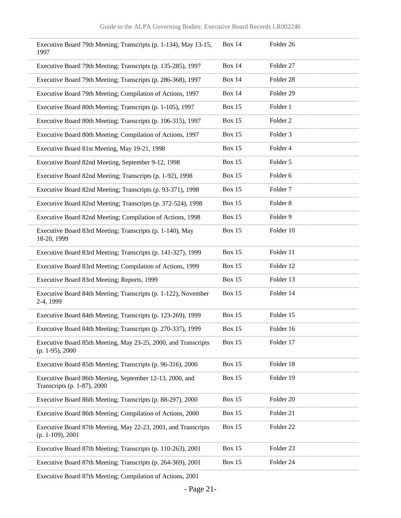| Executive Board 79th Meeting; Transcripts (p. 1-134), May 13-15,<br>1997                | <b>Box 14</b> | Folder 26            |
|-----------------------------------------------------------------------------------------|---------------|----------------------|
| Executive Board 79th Meeting; Transcripts (p. 135-285), 1997                            | <b>Box 14</b> | Folder 27            |
| Executive Board 79th Meeting; Transcripts (p. 286-368), 1997                            | <b>Box 14</b> | Folder 28            |
| Executive Board 79th Meeting; Compilation of Actions, 1997                              | <b>Box 14</b> | Folder 29            |
| Executive Board 80th Meeting; Transcripts (p. 1-105), 1997                              | <b>Box 15</b> | Folder 1             |
| Executive Board 80th Meeting; Transcripts (p. 106-315), 1997                            | <b>Box 15</b> | Folder <sub>2</sub>  |
| Executive Board 80th Meeting; Compilation of Actions, 1997                              | <b>Box 15</b> | Folder 3             |
| Executive Board 81st Meeting, May 19-21, 1998                                           | <b>Box 15</b> | Folder 4             |
| Executive Board 82nd Meeting, September 9-12, 1998                                      | <b>Box 15</b> | Folder 5             |
| Executive Board 82nd Meeting; Transcripts (p. 1-92), 1998                               | <b>Box 15</b> | Folder 6             |
| Executive Board 82nd Meeting; Transcripts (p. 93-371), 1998                             | <b>Box 15</b> | Folder <sub>7</sub>  |
| Executive Board 82nd Meeting; Transcripts (p. 372-524), 1998                            | <b>Box 15</b> | Folder 8             |
| Executive Board 82nd Meeting; Compilation of Actions, 1998                              | <b>Box 15</b> | Folder 9             |
| Executive Board 83rd Meeting; Transcripts (p. 1-140), May<br>18-20, 1999                | <b>Box 15</b> | Folder 10            |
| Executive Board 83rd Meeting; Transcripts (p. 141-327), 1999                            | <b>Box 15</b> | Folder 11            |
| Executive Board 83rd Meeting; Compilation of Actions, 1999                              | <b>Box 15</b> | Folder 12            |
| Executive Board 83rd Meeting; Reports, 1999                                             | <b>Box 15</b> | Folder 13            |
| Executive Board 84th Meeting; Transcripts (p. 1-122), November<br>2-4, 1999             | <b>Box 15</b> | Folder 14            |
| Executive Board 84th Meeting; Transcripts (p. 123-269), 1999                            | <b>Box 15</b> | Folder 15            |
| Executive Board 84th Meeting; Transcripts (p. 270-337), 1999                            | <b>Box 15</b> | Folder 16            |
| Executive Board 85th Meeting, May 23-25, 2000, and Transcripts<br>$(p. 1-95), 2000$     | <b>Box 15</b> | Folder 17            |
| Executive Board 85th Meeting; Transcripts (p. 96-316), 2000                             | <b>Box 15</b> | Folder 18            |
| Executive Board 86th Meeting, September 12-13, 2000, and<br>Transcripts (p. 1-87), 2000 | <b>Box 15</b> | Folder 19            |
| Executive Board 86th Meeting; Transcripts (p. 88-297), 2000                             | <b>Box 15</b> | Folder 20            |
| Executive Board 86th Meeting; Compilation of Actions, 2000                              | <b>Box 15</b> | Folder 21            |
| Executive Board 87th Meeting, May 22-23, 2001, and Transcripts<br>$(p. 1-109), 2001$    | <b>Box 15</b> | Folder <sub>22</sub> |
| Executive Board 87th Meeting; Transcripts (p. 110-263), 2001                            | <b>Box 15</b> | Folder <sub>23</sub> |
| Executive Board 87th Meeting; Transcripts (p. 264-369), 2001                            | <b>Box 15</b> | Folder 24            |

Executive Board 87th Meeting; Compilation of Actions, 2001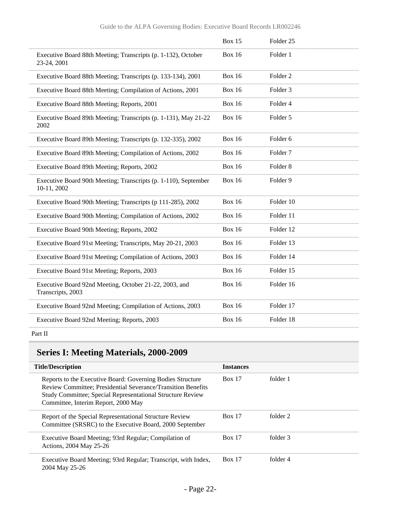|                                                                                | <b>Box 15</b> | Folder <sub>25</sub> |
|--------------------------------------------------------------------------------|---------------|----------------------|
| Executive Board 88th Meeting; Transcripts (p. 1-132), October<br>23-24, 2001   | <b>Box 16</b> | Folder 1             |
| Executive Board 88th Meeting; Transcripts (p. 133-134), 2001                   | <b>Box 16</b> | Folder <sub>2</sub>  |
| Executive Board 88th Meeting; Compilation of Actions, 2001                     | <b>Box 16</b> | Folder <sub>3</sub>  |
| Executive Board 88th Meeting; Reports, 2001                                    | <b>Box 16</b> | Folder 4             |
| Executive Board 89th Meeting; Transcripts (p. 1-131), May 21-22<br>2002        | <b>Box 16</b> | Folder 5             |
| Executive Board 89th Meeting; Transcripts (p. 132-335), 2002                   | <b>Box 16</b> | Folder <sub>6</sub>  |
| Executive Board 89th Meeting; Compilation of Actions, 2002                     | <b>Box 16</b> | Folder <sub>7</sub>  |
| Executive Board 89th Meeting; Reports, 2002                                    | <b>Box 16</b> | Folder <sub>8</sub>  |
| Executive Board 90th Meeting; Transcripts (p. 1-110), September<br>10-11, 2002 | <b>Box 16</b> | Folder 9             |
| Executive Board 90th Meeting; Transcripts (p 111-285), 2002                    | <b>Box 16</b> | Folder 10            |
| Executive Board 90th Meeting; Compilation of Actions, 2002                     | <b>Box 16</b> | Folder 11            |
| Executive Board 90th Meeting; Reports, 2002                                    | <b>Box 16</b> | Folder 12            |
| Executive Board 91st Meeting; Transcripts, May 20-21, 2003                     | <b>Box 16</b> | Folder 13            |
| Executive Board 91st Meeting; Compilation of Actions, 2003                     | <b>Box 16</b> | Folder 14            |
| Executive Board 91st Meeting; Reports, 2003                                    | <b>Box 16</b> | Folder 15            |
| Executive Board 92nd Meeting, October 21-22, 2003, and<br>Transcripts, 2003    | <b>Box 16</b> | Folder 16            |
| Executive Board 92nd Meeting; Compilation of Actions, 2003                     | <b>Box 16</b> | Folder 17            |
| Executive Board 92nd Meeting; Reports, 2003                                    | <b>Box 16</b> | Folder 18            |
|                                                                                |               |                      |

#### Part II

## **Series I: Meeting Materials, 2000-2009**

| <b>Title/Description</b>                                                                                                                                                                                                               | <b>Instances</b> |          |
|----------------------------------------------------------------------------------------------------------------------------------------------------------------------------------------------------------------------------------------|------------------|----------|
| Reports to the Executive Board: Governing Bodies Structure<br><b>Review Committee: Presidential Severance/Transition Benefits</b><br>Study Committee; Special Representational Structure Review<br>Committee, Interim Report, 2000 May | <b>Box 17</b>    | folder 1 |
| Report of the Special Representational Structure Review<br>Committee (SRSRC) to the Executive Board, 2000 September                                                                                                                    | <b>Box 17</b>    | folder 2 |
| Executive Board Meeting; 93rd Regular; Compilation of<br>Actions, 2004 May 25-26                                                                                                                                                       | <b>Box 17</b>    | folder 3 |
| Executive Board Meeting; 93rd Regular; Transcript, with Index,<br>2004 May 25-26                                                                                                                                                       | <b>Box 17</b>    | folder 4 |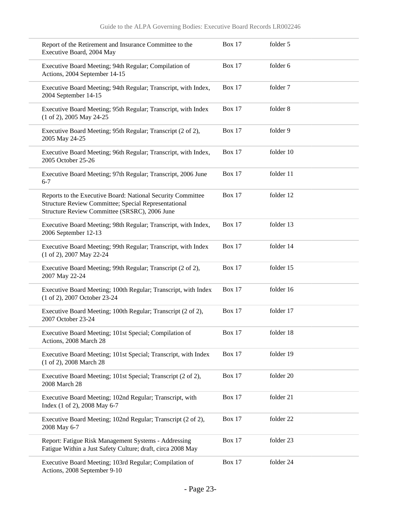| Report of the Retirement and Insurance Committee to the<br>Executive Board, 2004 May                                                                                 | <b>Box 17</b> | folder 5  |
|----------------------------------------------------------------------------------------------------------------------------------------------------------------------|---------------|-----------|
| Executive Board Meeting; 94th Regular; Compilation of<br>Actions, 2004 September 14-15                                                                               | <b>Box 17</b> | folder 6  |
| Executive Board Meeting; 94th Regular; Transcript, with Index,<br>2004 September 14-15                                                                               | <b>Box 17</b> | folder 7  |
| Executive Board Meeting; 95th Regular; Transcript, with Index<br>(1 of 2), 2005 May 24-25                                                                            | <b>Box 17</b> | folder 8  |
| Executive Board Meeting; 95th Regular; Transcript (2 of 2),<br>2005 May 24-25                                                                                        | <b>Box 17</b> | folder 9  |
| Executive Board Meeting; 96th Regular; Transcript, with Index,<br>2005 October 25-26                                                                                 | <b>Box 17</b> | folder 10 |
| Executive Board Meeting; 97th Regular; Transcript, 2006 June<br>$6 - 7$                                                                                              | <b>Box 17</b> | folder 11 |
| Reports to the Executive Board: National Security Committee<br>Structure Review Committee; Special Representational<br>Structure Review Committee (SRSRC), 2006 June | <b>Box 17</b> | folder 12 |
| Executive Board Meeting; 98th Regular; Transcript, with Index,<br>2006 September 12-13                                                                               | <b>Box 17</b> | folder 13 |
| Executive Board Meeting; 99th Regular; Transcript, with Index<br>(1 of 2), 2007 May 22-24                                                                            | <b>Box 17</b> | folder 14 |
| Executive Board Meeting; 99th Regular; Transcript (2 of 2),<br>2007 May 22-24                                                                                        | <b>Box 17</b> | folder 15 |
| Executive Board Meeting; 100th Regular; Transcript, with Index<br>(1 of 2), 2007 October 23-24                                                                       | <b>Box 17</b> | folder 16 |
| Executive Board Meeting; 100th Regular; Transcript (2 of 2),<br>2007 October 23-24                                                                                   | <b>Box 17</b> | folder 17 |
| Executive Board Meeting; 101st Special; Compilation of<br>Actions, 2008 March 28                                                                                     | <b>Box 17</b> | folder 18 |
| Executive Board Meeting; 101st Special; Transcript, with Index<br>(1 of 2), 2008 March 28                                                                            | <b>Box 17</b> | folder 19 |
| Executive Board Meeting; 101st Special; Transcript (2 of 2),<br>2008 March 28                                                                                        | <b>Box 17</b> | folder 20 |
| Executive Board Meeting; 102nd Regular; Transcript, with<br>Index (1 of 2), 2008 May 6-7                                                                             | <b>Box 17</b> | folder 21 |
| Executive Board Meeting; 102nd Regular; Transcript (2 of 2),<br>2008 May 6-7                                                                                         | <b>Box 17</b> | folder 22 |
| Report: Fatigue Risk Management Systems - Addressing<br>Fatigue Within a Just Safety Culture; draft, circa 2008 May                                                  | <b>Box 17</b> | folder 23 |
| Executive Board Meeting; 103rd Regular; Compilation of<br>Actions, 2008 September 9-10                                                                               | <b>Box 17</b> | folder 24 |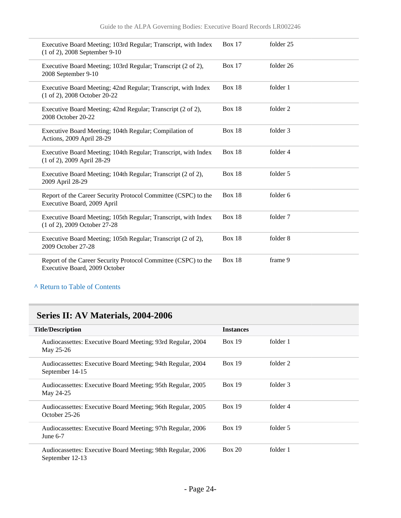| Executive Board Meeting; 103rd Regular; Transcript, with Index<br>(1 of 2), 2008 September 9-10 | Box 17        | folder 25 |
|-------------------------------------------------------------------------------------------------|---------------|-----------|
| Executive Board Meeting; 103rd Regular; Transcript (2 of 2),<br>2008 September 9-10             | Box $17$      | folder 26 |
| Executive Board Meeting; 42nd Regular; Transcript, with Index<br>(1 of 2), 2008 October 20-22   | <b>Box 18</b> | folder 1  |
| Executive Board Meeting; 42nd Regular; Transcript (2 of 2),<br>2008 October 20-22               | <b>Box 18</b> | folder 2  |
| Executive Board Meeting; 104th Regular; Compilation of<br>Actions, 2009 April 28-29             | <b>Box 18</b> | folder 3  |
| Executive Board Meeting; 104th Regular; Transcript, with Index<br>(1 of 2), 2009 April 28-29    | Box 18        | folder 4  |
| Executive Board Meeting; 104th Regular; Transcript (2 of 2),<br>2009 April 28-29                | Box $18$      | folder 5  |
| Report of the Career Security Protocol Committee (CSPC) to the<br>Executive Board, 2009 April   | <b>Box 18</b> | folder 6  |
| Executive Board Meeting; 105th Regular; Transcript, with Index<br>(1 of 2), 2009 October 27-28  | Box $18$      | folder 7  |
| Executive Board Meeting; 105th Regular; Transcript (2 of 2),<br>2009 October 27-28              | Box $18$      | folder 8  |
| Report of the Career Security Protocol Committee (CSPC) to the<br>Executive Board, 2009 October | <b>Box 18</b> | frame 9   |

**^** [Return to Table of Contents](#page-1-0)

## **Series II: AV Materials, 2004-2006**

| <b>Title/Description</b>                                                       | <b>Instances</b> |          |  |
|--------------------------------------------------------------------------------|------------------|----------|--|
| Audiocassettes: Executive Board Meeting; 93rd Regular, 2004<br>May 25-26       | Box 19           | folder 1 |  |
| Audiocassettes: Executive Board Meeting; 94th Regular, 2004<br>September 14-15 | Box 19           | folder 2 |  |
| Audiocassettes: Executive Board Meeting; 95th Regular, 2005<br>May 24-25       | Box 19           | folder 3 |  |
| Audiocassettes: Executive Board Meeting; 96th Regular, 2005<br>October 25-26   | Box 19           | folder 4 |  |
| Audiocassettes: Executive Board Meeting; 97th Regular, 2006<br>June $6-7$      | Box 19           | folder 5 |  |
| Audiocassettes: Executive Board Meeting; 98th Regular, 2006<br>September 12-13 | Box 20           | folder 1 |  |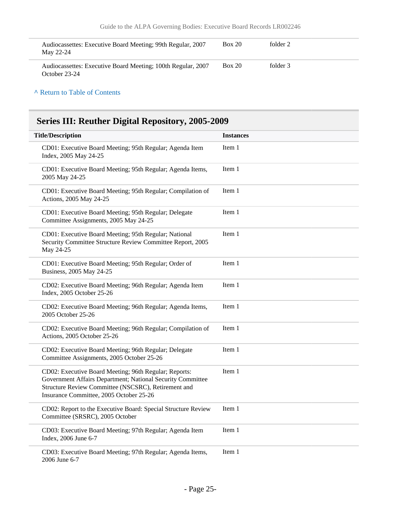| Audiocassettes: Executive Board Meeting; 99th Regular, 2007<br>May 22-24      | <b>Box 20</b> | folder 2 |
|-------------------------------------------------------------------------------|---------------|----------|
| Audiocassettes: Executive Board Meeting; 100th Regular, 2007<br>October 23-24 | <b>Box 20</b> | folder 3 |

#### **^** [Return to Table of Contents](#page-1-0)

# **Series III: Reuther Digital Repository, 2005-2009**

| <b>Title/Description</b>                                                                                                                                                                                              | <b>Instances</b> |
|-----------------------------------------------------------------------------------------------------------------------------------------------------------------------------------------------------------------------|------------------|
| CD01: Executive Board Meeting; 95th Regular; Agenda Item<br>Index, 2005 May 24-25                                                                                                                                     | Item 1           |
| CD01: Executive Board Meeting; 95th Regular; Agenda Items,<br>2005 May 24-25                                                                                                                                          | Item 1           |
| CD01: Executive Board Meeting; 95th Regular; Compilation of<br>Actions, 2005 May 24-25                                                                                                                                | Item 1           |
| CD01: Executive Board Meeting; 95th Regular; Delegate<br>Committee Assignments, 2005 May 24-25                                                                                                                        | Item 1           |
| CD01: Executive Board Meeting; 95th Regular; National<br>Security Committee Structure Review Committee Report, 2005<br>May 24-25                                                                                      | Item 1           |
| CD01: Executive Board Meeting; 95th Regular; Order of<br>Business, 2005 May 24-25                                                                                                                                     | Item 1           |
| CD02: Executive Board Meeting; 96th Regular; Agenda Item<br>Index, 2005 October 25-26                                                                                                                                 | Item 1           |
| CD02: Executive Board Meeting; 96th Regular; Agenda Items,<br>2005 October 25-26                                                                                                                                      | Item 1           |
| CD02: Executive Board Meeting; 96th Regular; Compilation of<br>Actions, 2005 October 25-26                                                                                                                            | Item 1           |
| CD02: Executive Board Meeting; 96th Regular; Delegate<br>Committee Assignments, 2005 October 25-26                                                                                                                    | Item 1           |
| CD02: Executive Board Meeting; 96th Regular; Reports:<br>Government Affairs Department; National Security Committee<br>Structure Review Committee (NSCSRC), Retirement and<br>Insurance Committee, 2005 October 25-26 | Item 1           |
| CD02: Report to the Executive Board: Special Structure Review<br>Committee (SRSRC), 2005 October                                                                                                                      | Item 1           |
| CD03: Executive Board Meeting; 97th Regular; Agenda Item<br>Index, 2006 June 6-7                                                                                                                                      | Item 1           |
| CD03: Executive Board Meeting; 97th Regular; Agenda Items,<br>2006 June 6-7                                                                                                                                           | Item 1           |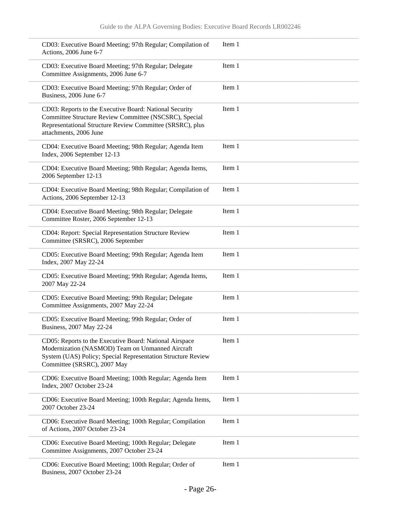| CD03: Executive Board Meeting; 97th Regular; Compilation of<br>Actions, 2006 June 6-7                                                                                                                      | Item 1 |
|------------------------------------------------------------------------------------------------------------------------------------------------------------------------------------------------------------|--------|
| CD03: Executive Board Meeting; 97th Regular; Delegate<br>Committee Assignments, 2006 June 6-7                                                                                                              | Item 1 |
| CD03: Executive Board Meeting; 97th Regular; Order of<br>Business, 2006 June 6-7                                                                                                                           | Item 1 |
| CD03: Reports to the Executive Board: National Security<br>Committee Structure Review Committee (NSCSRC), Special<br>Representational Structure Review Committee (SRSRC), plus<br>attachments, 2006 June   | Item 1 |
| CD04: Executive Board Meeting; 98th Regular; Agenda Item<br>Index, 2006 September 12-13                                                                                                                    | Item 1 |
| CD04: Executive Board Meeting; 98th Regular; Agenda Items,<br>2006 September 12-13                                                                                                                         | Item 1 |
| CD04: Executive Board Meeting; 98th Regular; Compilation of<br>Actions, 2006 September 12-13                                                                                                               | Item 1 |
| CD04: Executive Board Meeting; 98th Regular; Delegate<br>Committee Roster, 2006 September 12-13                                                                                                            | Item 1 |
| CD04: Report: Special Representation Structure Review<br>Committee (SRSRC), 2006 September                                                                                                                 | Item 1 |
| CD05: Executive Board Meeting; 99th Regular; Agenda Item<br>Index, 2007 May 22-24                                                                                                                          | Item 1 |
| CD05: Executive Board Meeting; 99th Regular; Agenda Items,<br>2007 May 22-24                                                                                                                               | Item 1 |
| CD05: Executive Board Meeting; 99th Regular; Delegate<br>Committee Assignments, 2007 May 22-24                                                                                                             | Item 1 |
| CD05: Executive Board Meeting; 99th Regular; Order of<br>Business, 2007 May 22-24                                                                                                                          | Item 1 |
| CD05: Reports to the Executive Board: National Airspace<br>Modernization (NASMOD) Team on Unmanned Aircraft<br>System (UAS) Policy; Special Representation Structure Review<br>Committee (SRSRC), 2007 May | Item 1 |
| CD06: Executive Board Meeting; 100th Regular; Agenda Item<br>Index, 2007 October 23-24                                                                                                                     | Item 1 |
| CD06: Executive Board Meeting; 100th Regular; Agenda Items,<br>2007 October 23-24                                                                                                                          | Item 1 |
| CD06: Executive Board Meeting; 100th Regular; Compilation<br>of Actions, 2007 October 23-24                                                                                                                | Item 1 |
| CD06: Executive Board Meeting; 100th Regular; Delegate<br>Committee Assignments, 2007 October 23-24                                                                                                        | Item 1 |
| CD06: Executive Board Meeting; 100th Regular; Order of<br>Business, 2007 October 23-24                                                                                                                     | Item 1 |